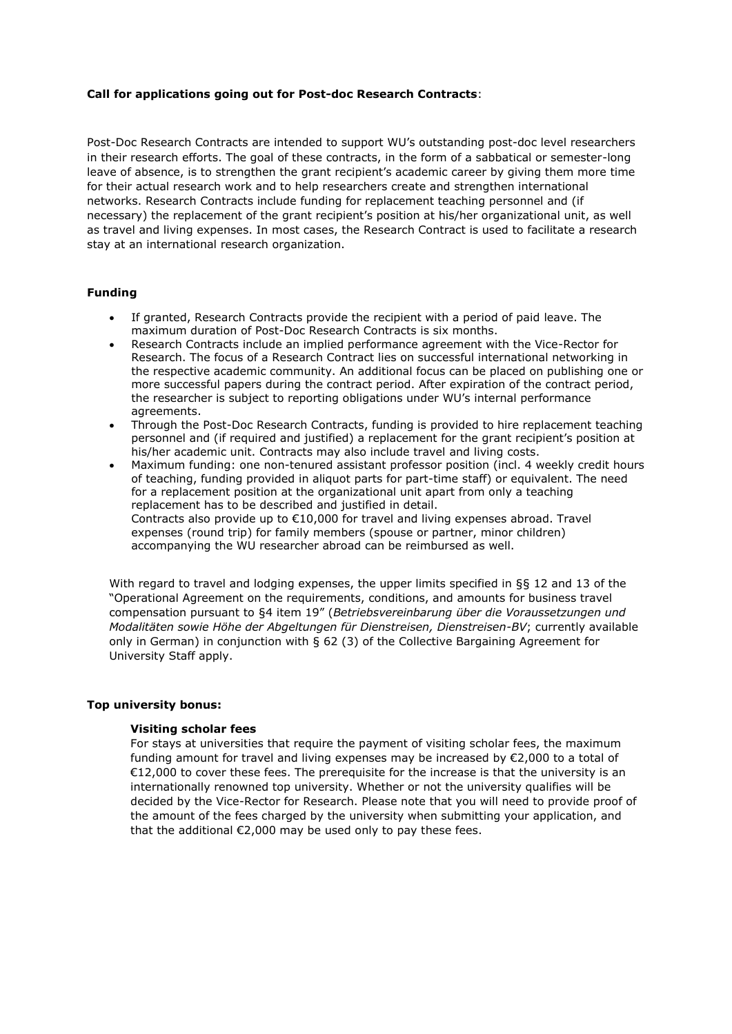## **Call for applications going out for Post-doc Research Contracts**:

Post-Doc Research Contracts are intended to support WU's outstanding post-doc level researchers in their research efforts. The goal of these contracts, in the form of a sabbatical or semester-long leave of absence, is to strengthen the grant recipient's academic career by giving them more time for their actual research work and to help researchers create and strengthen international networks. Research Contracts include funding for replacement teaching personnel and (if necessary) the replacement of the grant recipient's position at his/her organizational unit, as well as travel and living expenses. In most cases, the Research Contract is used to facilitate a research stay at an international research organization.

# **Funding**

- If granted, Research Contracts provide the recipient with a period of paid leave. The maximum duration of Post-Doc Research Contracts is six months.
- Research Contracts include an implied performance agreement with the Vice-Rector for Research. The focus of a Research Contract lies on successful international networking in the respective academic community. An additional focus can be placed on publishing one or more successful papers during the contract period. After expiration of the contract period, the researcher is subject to reporting obligations under WU's internal performance agreements.
- Through the Post-Doc Research Contracts, funding is provided to hire replacement teaching personnel and (if required and justified) a replacement for the grant recipient's position at his/her academic unit. Contracts may also include travel and living costs.
- Maximum funding: one non-tenured assistant professor position (incl. 4 weekly credit hours of teaching, funding provided in aliquot parts for part-time staff) or equivalent. The need for a replacement position at the organizational unit apart from only a teaching replacement has to be described and justified in detail. Contracts also provide up to €10,000 for travel and living expenses abroad. Travel expenses (round trip) for family members (spouse or partner, minor children) accompanying the WU researcher abroad can be reimbursed as well.

With regard to travel and lodging expenses, the upper limits specified in §§ 12 and 13 of the "Operational Agreement on the requirements, conditions, and amounts for business travel compensation pursuant to §4 item 19" (*Betriebsvereinbarung über die Voraussetzungen und Modalitäten sowie Höhe der Abgeltungen für Dienstreisen, Dienstreisen-BV*; currently available only in German) in conjunction with § 62 (3) of the Collective Bargaining Agreement for University Staff apply.

#### **Top university bonus:**

#### **Visiting scholar fees**

For stays at universities that require the payment of visiting scholar fees, the maximum funding amount for travel and living expenses may be increased by €2,000 to a total of €12,000 to cover these fees. The prerequisite for the increase is that the university is an internationally renowned top university. Whether or not the university qualifies will be decided by the Vice-Rector for Research. Please note that you will need to provide proof of the amount of the fees charged by the university when submitting your application, and that the additional €2,000 may be used only to pay these fees.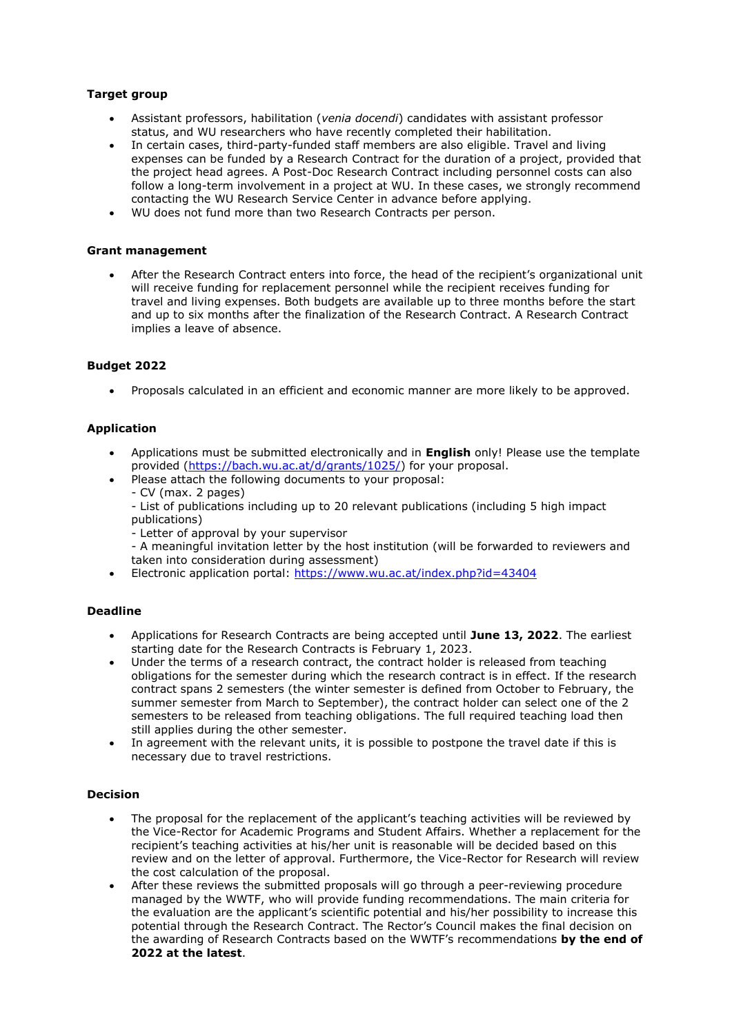# **Target group**

- Assistant professors, habilitation (*venia docendi*) candidates with assistant professor status, and WU researchers who have recently completed their habilitation.
- In certain cases, third-party-funded staff members are also eligible. Travel and living expenses can be funded by a Research Contract for the duration of a project, provided that the project head agrees. A Post-Doc Research Contract including personnel costs can also follow a long-term involvement in a project at WU. In these cases, we strongly recommend contacting the WU Research Service Center in advance before applying.
- WU does not fund more than two Research Contracts per person.

#### **Grant management**

 After the Research Contract enters into force, the head of the recipient's organizational unit will receive funding for replacement personnel while the recipient receives funding for travel and living expenses. Both budgets are available up to three months before the start and up to six months after the finalization of the Research Contract. A Research Contract implies a leave of absence.

## **Budget 2022**

Proposals calculated in an efficient and economic manner are more likely to be approved.

#### **Application**

- Applications must be submitted electronically and in **English** only! Please use the template provided [\(https://bach.wu.ac.at/d/grants/1025/\)](https://bach.wu.ac.at/d/grants/1025/) for your proposal.
- Please attach the following documents to your proposal:
	- CV (max. 2 pages)
	- List of publications including up to 20 relevant publications (including 5 high impact publications)
	- Letter of approval by your supervisor
	- A meaningful invitation letter by the host institution (will be forwarded to reviewers and taken into consideration during assessment)
- Electronic application portal:<https://www.wu.ac.at/index.php?id=43404>

# **Deadline**

- Applications for Research Contracts are being accepted until **June 13, 2022**. The earliest starting date for the Research Contracts is February 1, 2023.
- Under the terms of a research contract, the contract holder is released from teaching obligations for the semester during which the research contract is in effect. If the research contract spans 2 semesters (the winter semester is defined from October to February, the summer semester from March to September), the contract holder can select one of the 2 semesters to be released from teaching obligations. The full required teaching load then still applies during the other semester.
- In agreement with the relevant units, it is possible to postpone the travel date if this is necessary due to travel restrictions.

#### **Decision**

- The proposal for the replacement of the applicant's teaching activities will be reviewed by the Vice-Rector for Academic Programs and Student Affairs. Whether a replacement for the recipient's teaching activities at his/her unit is reasonable will be decided based on this review and on the letter of approval. Furthermore, the Vice-Rector for Research will review the cost calculation of the proposal.
- After these reviews the submitted proposals will go through a peer-reviewing procedure managed by the WWTF, who will provide funding recommendations. The main criteria for the evaluation are the applicant's scientific potential and his/her possibility to increase this potential through the Research Contract. The Rector's Council makes the final decision on the awarding of Research Contracts based on the WWTF's recommendations **by the end of 2022 at the latest**.